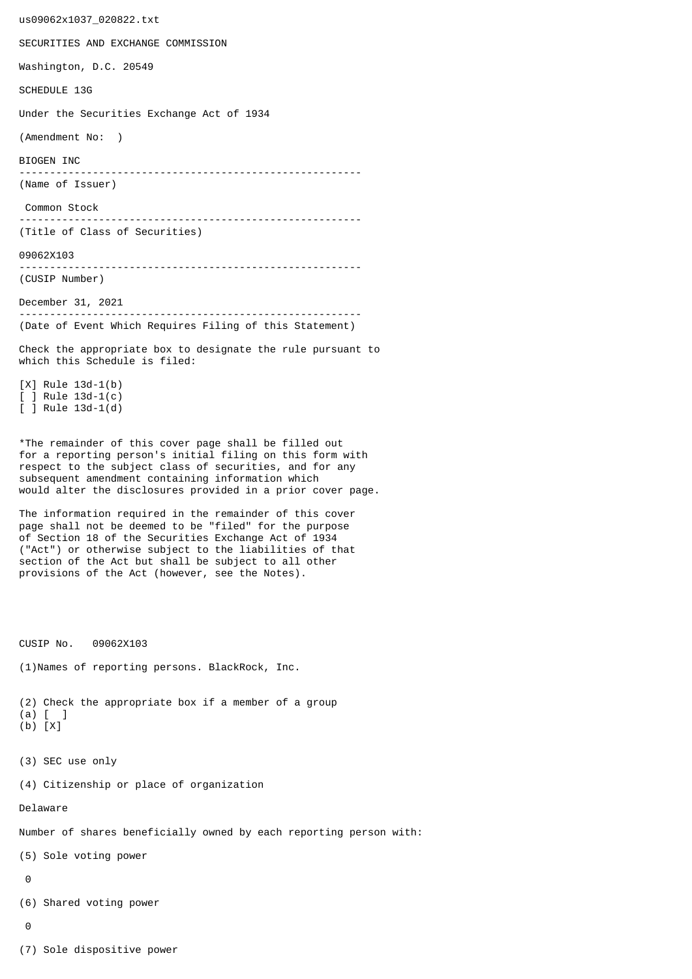us09062x1037\_020822.txt SECURITIES AND EXCHANGE COMMISSION Washington, D.C. 20549 SCHEDULE 13G Under the Securities Exchange Act of 1934 (Amendment No: ) BIOGEN INC -------------------------------------------------------- (Name of Issuer) Common Stock -------------------------------------------------------- (Title of Class of Securities) 09062X103 -------------------------------------------------------- (CUSIP Number) December 31, 2021 -------------------------------------------------------- (Date of Event Which Requires Filing of this Statement) Check the appropriate box to designate the rule pursuant to which this Schedule is filed: [X] Rule 13d-1(b) [ ] Rule 13d-1(c) [ ] Rule 13d-1(d) \*The remainder of this cover page shall be filled out for a reporting person's initial filing on this form with respect to the subject class of securities, and for any subsequent amendment containing information which would alter the disclosures provided in a prior cover page. The information required in the remainder of this cover page shall not be deemed to be "filed" for the purpose of Section 18 of the Securities Exchange Act of 1934 ("Act") or otherwise subject to the liabilities of that section of the Act but shall be subject to all other provisions of the Act (however, see the Notes). CUSIP No. 09062X103 (1)Names of reporting persons. BlackRock, Inc. (2) Check the appropriate box if a member of a group (a) [ ] (b) [X] (3) SEC use only (4) Citizenship or place of organization Delaware Number of shares beneficially owned by each reporting person with: (5) Sole voting power  $\Omega$ (6) Shared voting power  $\Omega$ (7) Sole dispositive power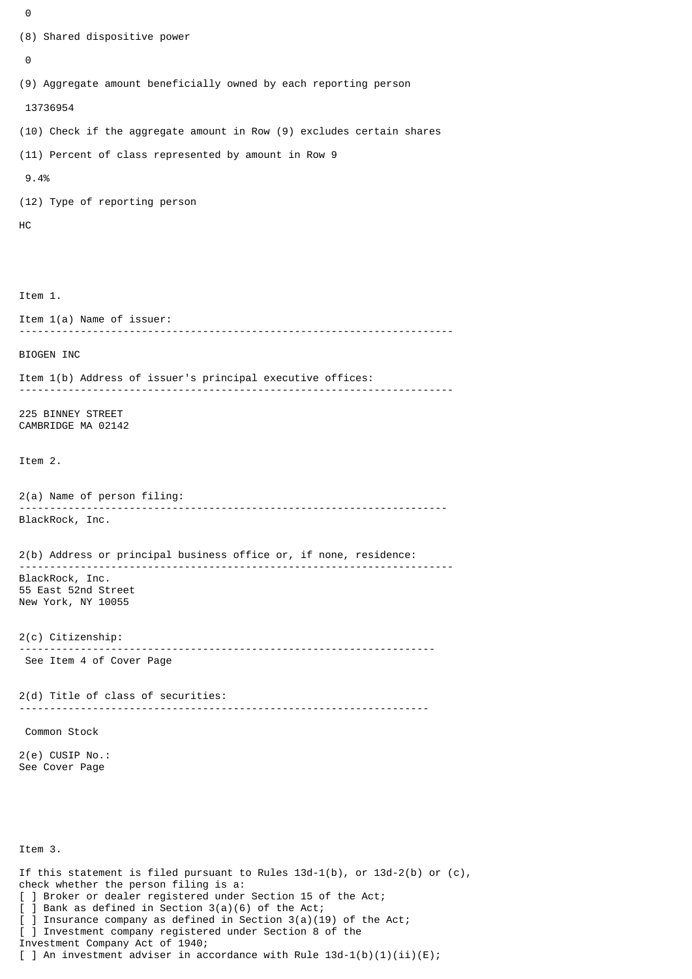```
\Theta(8) Shared dispositive power
 \boldsymbol{\Theta}(9) Aggregate amount beneficially owned by each reporting person
  13736954
(10) Check if the aggregate amount in Row (9) excludes certain shares
(11) Percent of class represented by amount in Row 9
  9.4%
(12) Type of reporting person
HC
Item 1.
Item 1(a) Name of issuer:
           -----------------------------------------------------------------------
BIOGEN INC
Item 1(b) Address of issuer's principal executive offices:
 -----------------------------------------------------------------------
225 BINNEY STREET
CAMBRIDGE MA 02142
Item 2.
2(a) Name of person filing:
               ----------------------------------------------------------------------
BlackRock, Inc.
2(b) Address or principal business office or, if none, residence:
 -----------------------------------------------------------------------
BlackRock, Inc.
55 East 52nd Street
New York, NY 10055
2(c) Citizenship:
                            --------------------------------------------------------------------
 See Item 4 of Cover Page
2(d) Title of class of securities:
                                       -------------------------------------------------------------------
 Common Stock
2(e) CUSIP No.:
See Cover Page
Item 3.
If this statement is filed pursuant to Rules 13d-1(b), or 13d-2(b) or (c),
check whether the person filing is a:
[ ] Broker or dealer registered under Section 15 of the Act;
[ ] Bank as defined in Section 3(a)(6) of the Act;
```
] Insurance company as defined in Section  $3(a)(19)$  of the Act;

[ ] Investment company registered under Section 8 of the

Investment Company Act of 1940;

[ ] An investment adviser in accordance with Rule  $13d-1(b)(1)(ii)(E)$ ;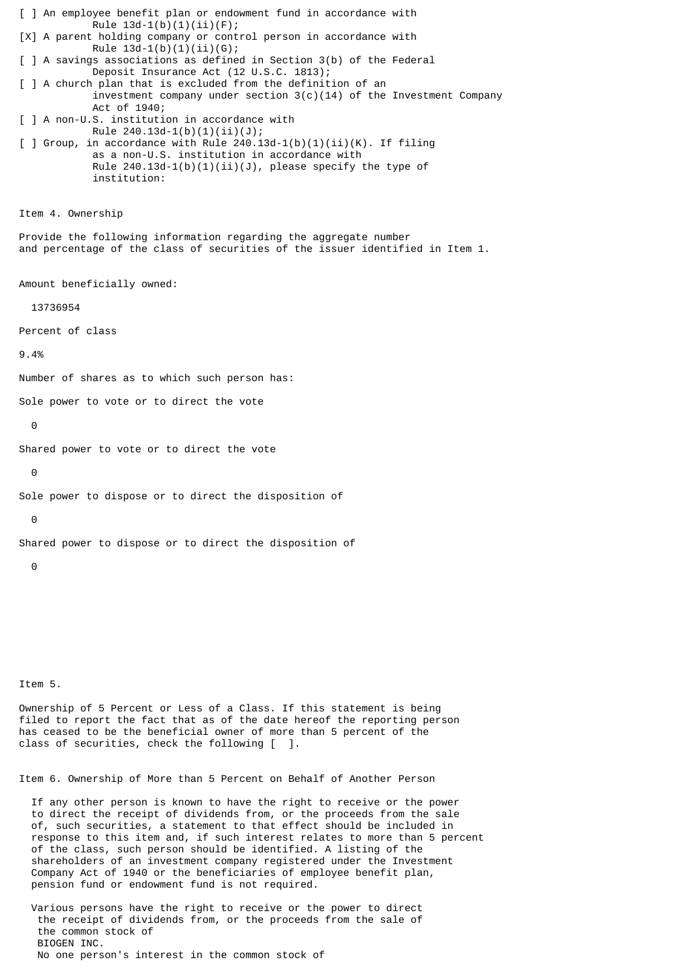[ ] An employee benefit plan or endowment fund in accordance with Rule  $13d-1(b)(1)(ii)(F);$ [X] A parent holding company or control person in accordance with Rule  $13d-1(b)(1)(ii)(G);$ [ ] A savings associations as defined in Section 3(b) of the Federal Deposit Insurance Act (12 U.S.C. 1813); [ ] A church plan that is excluded from the definition of an investment company under section  $3(c)(14)$  of the Investment Company Act of 1940; [ ] A non-U.S. institution in accordance with Rule 240.13d-1(b)(1)(ii)(J);  $\lceil$  ] Group, in accordance with Rule 240.13d-1(b)(1)(ii)(K). If filing as a non-U.S. institution in accordance with Rule  $240.13d-1(b)(1)(ii)(J)$ , please specify the type of institution: Item 4. Ownership Provide the following information regarding the aggregate number and percentage of the class of securities of the issuer identified in Item 1. Amount beneficially owned: 13736954 Percent of class 9.4% Number of shares as to which such person has: Sole power to vote or to direct the vote  $\Omega$ Shared power to vote or to direct the vote  $\Theta$ Sole power to dispose or to direct the disposition of  $\theta$ Shared power to dispose or to direct the disposition of 0 Item 5.

Ownership of 5 Percent or Less of a Class. If this statement is being filed to report the fact that as of the date hereof the reporting person has ceased to be the beneficial owner of more than 5 percent of the class of securities, check the following [ ].

Item 6. Ownership of More than 5 Percent on Behalf of Another Person

 If any other person is known to have the right to receive or the power to direct the receipt of dividends from, or the proceeds from the sale of, such securities, a statement to that effect should be included in response to this item and, if such interest relates to more than 5 percent of the class, such person should be identified. A listing of the shareholders of an investment company registered under the Investment Company Act of 1940 or the beneficiaries of employee benefit plan, pension fund or endowment fund is not required.

 Various persons have the right to receive or the power to direct the receipt of dividends from, or the proceeds from the sale of the common stock of BIOGEN INC. No one person's interest in the common stock of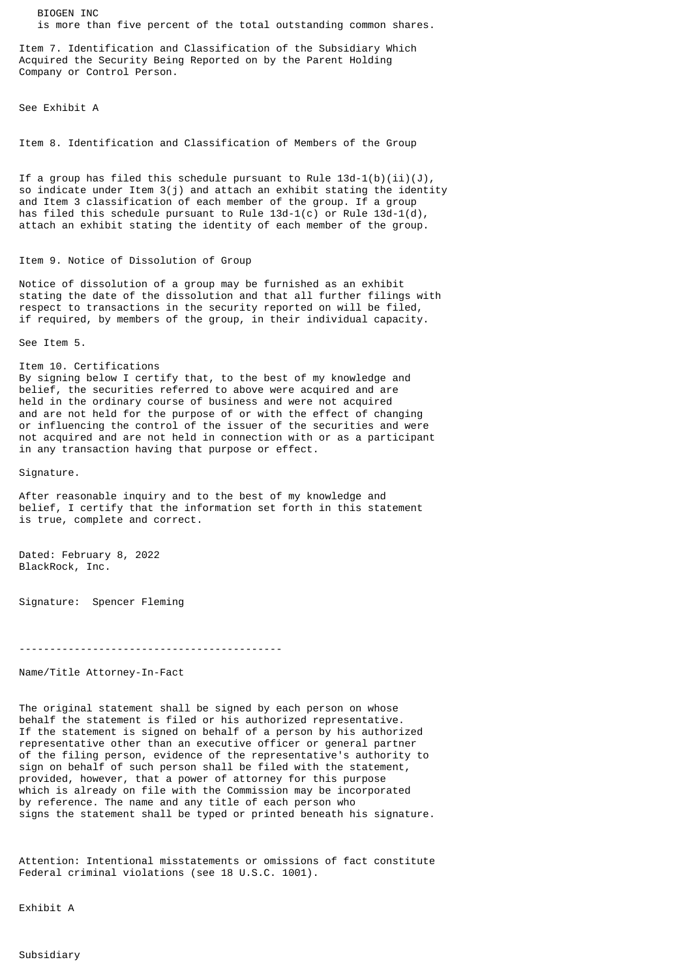BIOGEN INC is more than five percent of the total outstanding common shares.

Item 7. Identification and Classification of the Subsidiary Which Acquired the Security Being Reported on by the Parent Holding Company or Control Person.

See Exhibit A

Item 8. Identification and Classification of Members of the Group

If a group has filed this schedule pursuant to Rule  $13d-1(b)(ii)(J)$ , so indicate under Item 3(j) and attach an exhibit stating the identity and Item 3 classification of each member of the group. If a group has filed this schedule pursuant to Rule  $13d-1(c)$  or Rule  $13d-1(d)$ , attach an exhibit stating the identity of each member of the group.

## Item 9. Notice of Dissolution of Group

Notice of dissolution of a group may be furnished as an exhibit stating the date of the dissolution and that all further filings with respect to transactions in the security reported on will be filed, if required, by members of the group, in their individual capacity.

See Item 5.

Item 10. Certifications By signing below I certify that, to the best of my knowledge and belief, the securities referred to above were acquired and are held in the ordinary course of business and were not acquired and are not held for the purpose of or with the effect of changing or influencing the control of the issuer of the securities and were not acquired and are not held in connection with or as a participant in any transaction having that purpose or effect.

Signature.

After reasonable inquiry and to the best of my knowledge and belief, I certify that the information set forth in this statement is true, complete and correct.

Dated: February 8, 2022 BlackRock, Inc.

Signature: Spencer Fleming

-------------------------------------------

Name/Title Attorney-In-Fact

The original statement shall be signed by each person on whose behalf the statement is filed or his authorized representative. If the statement is signed on behalf of a person by his authorized representative other than an executive officer or general partner of the filing person, evidence of the representative's authority to sign on behalf of such person shall be filed with the statement, provided, however, that a power of attorney for this purpose which is already on file with the Commission may be incorporated by reference. The name and any title of each person who signs the statement shall be typed or printed beneath his signature.

Attention: Intentional misstatements or omissions of fact constitute Federal criminal violations (see 18 U.S.C. 1001).

Exhibit A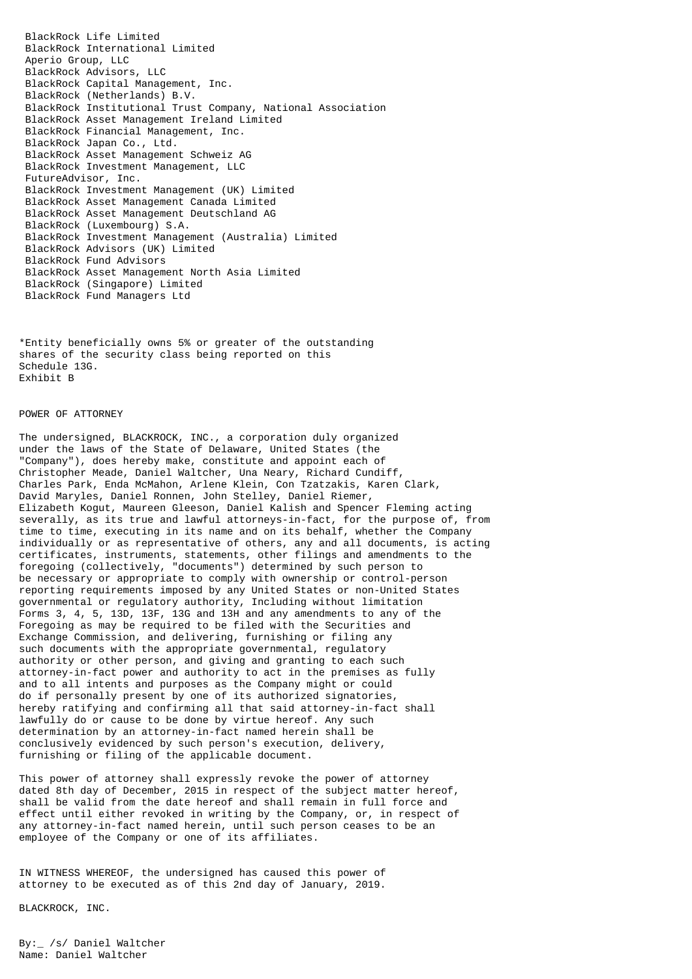BlackRock Life Limited BlackRock International Limited Aperio Group, LLC BlackRock Advisors, LLC BlackRock Capital Management, Inc. BlackRock (Netherlands) B.V. BlackRock Institutional Trust Company, National Association BlackRock Asset Management Ireland Limited BlackRock Financial Management, Inc. BlackRock Japan Co., Ltd. BlackRock Asset Management Schweiz AG BlackRock Investment Management, LLC FutureAdvisor, Inc. BlackRock Investment Management (UK) Limited BlackRock Asset Management Canada Limited BlackRock Asset Management Deutschland AG BlackRock (Luxembourg) S.A. BlackRock Investment Management (Australia) Limited BlackRock Advisors (UK) Limited BlackRock Fund Advisors BlackRock Asset Management North Asia Limited BlackRock (Singapore) Limited BlackRock Fund Managers Ltd

\*Entity beneficially owns 5% or greater of the outstanding shares of the security class being reported on this Schedule 13G. Exhibit B

## POWER OF ATTORNEY

The undersigned, BLACKROCK, INC., a corporation duly organized under the laws of the State of Delaware, United States (the "Company"), does hereby make, constitute and appoint each of Christopher Meade, Daniel Waltcher, Una Neary, Richard Cundiff, Charles Park, Enda McMahon, Arlene Klein, Con Tzatzakis, Karen Clark, David Maryles, Daniel Ronnen, John Stelley, Daniel Riemer, Elizabeth Kogut, Maureen Gleeson, Daniel Kalish and Spencer Fleming acting severally, as its true and lawful attorneys-in-fact, for the purpose of, from time to time, executing in its name and on its behalf, whether the Company individually or as representative of others, any and all documents, is acting certificates, instruments, statements, other filings and amendments to the foregoing (collectively, "documents") determined by such person to be necessary or appropriate to comply with ownership or control-person reporting requirements imposed by any United States or non-United States governmental or regulatory authority, Including without limitation Forms 3, 4, 5, 13D, 13F, 13G and 13H and any amendments to any of the Foregoing as may be required to be filed with the Securities and Exchange Commission, and delivering, furnishing or filing any such documents with the appropriate governmental, regulatory authority or other person, and giving and granting to each such attorney-in-fact power and authority to act in the premises as fully and to all intents and purposes as the Company might or could do if personally present by one of its authorized signatories, hereby ratifying and confirming all that said attorney-in-fact shall lawfully do or cause to be done by virtue hereof. Any such determination by an attorney-in-fact named herein shall be conclusively evidenced by such person's execution, delivery, furnishing or filing of the applicable document.

This power of attorney shall expressly revoke the power of attorney dated 8th day of December, 2015 in respect of the subject matter hereof, shall be valid from the date hereof and shall remain in full force and effect until either revoked in writing by the Company, or, in respect of any attorney-in-fact named herein, until such person ceases to be an employee of the Company or one of its affiliates.

IN WITNESS WHEREOF, the undersigned has caused this power of attorney to be executed as of this 2nd day of January, 2019.

BLACKROCK, INC.

By:\_ /s/ Daniel Waltcher Name: Daniel Waltcher